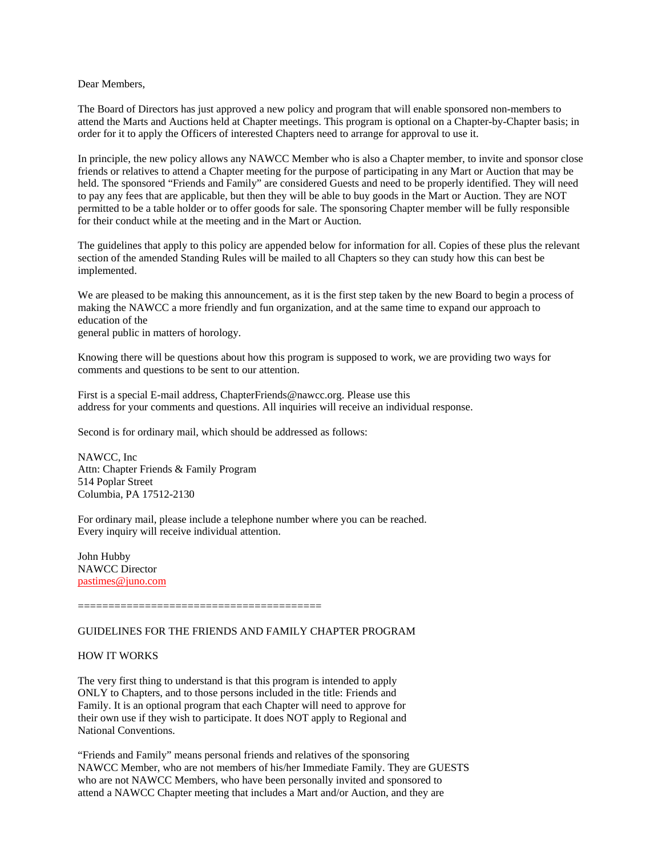### Dear Members,

The Board of Directors has just approved a new policy and program that will enable sponsored non-members to attend the Marts and Auctions held at Chapter meetings. This program is optional on a Chapter-by-Chapter basis; in order for it to apply the Officers of interested Chapters need to arrange for approval to use it.

In principle, the new policy allows any NAWCC Member who is also a Chapter member, to invite and sponsor close friends or relatives to attend a Chapter meeting for the purpose of participating in any Mart or Auction that may be held. The sponsored "Friends and Family" are considered Guests and need to be properly identified. They will need to pay any fees that are applicable, but then they will be able to buy goods in the Mart or Auction. They are NOT permitted to be a table holder or to offer goods for sale. The sponsoring Chapter member will be fully responsible for their conduct while at the meeting and in the Mart or Auction.

The guidelines that apply to this policy are appended below for information for all. Copies of these plus the relevant section of the amended Standing Rules will be mailed to all Chapters so they can study how this can best be implemented.

We are pleased to be making this announcement, as it is the first step taken by the new Board to begin a process of making the NAWCC a more friendly and fun organization, and at the same time to expand our approach to education of the general public in matters of horology.

Knowing there will be questions about how this program is supposed to work, we are providing two ways for comments and questions to be sent to our attention.

First is a special E-mail address, ChapterFriends@nawcc.org. Please use this address for your comments and questions. All inquiries will receive an individual response.

Second is for ordinary mail, which should be addressed as follows:

NAWCC, Inc Attn: Chapter Friends & Family Program 514 Poplar Street Columbia, PA 17512-2130

For ordinary mail, please include a telephone number where you can be reached. Every inquiry will receive individual attention.

John Hubby NAWCC Director pastimes@juno.com

========================================

# GUIDELINES FOR THE FRIENDS AND FAMILY CHAPTER PROGRAM

#### HOW IT WORKS

The very first thing to understand is that this program is intended to apply ONLY to Chapters, and to those persons included in the title: Friends and Family. It is an optional program that each Chapter will need to approve for their own use if they wish to participate. It does NOT apply to Regional and National Conventions.

"Friends and Family" means personal friends and relatives of the sponsoring NAWCC Member, who are not members of his/her Immediate Family. They are GUESTS who are not NAWCC Members, who have been personally invited and sponsored to attend a NAWCC Chapter meeting that includes a Mart and/or Auction, and they are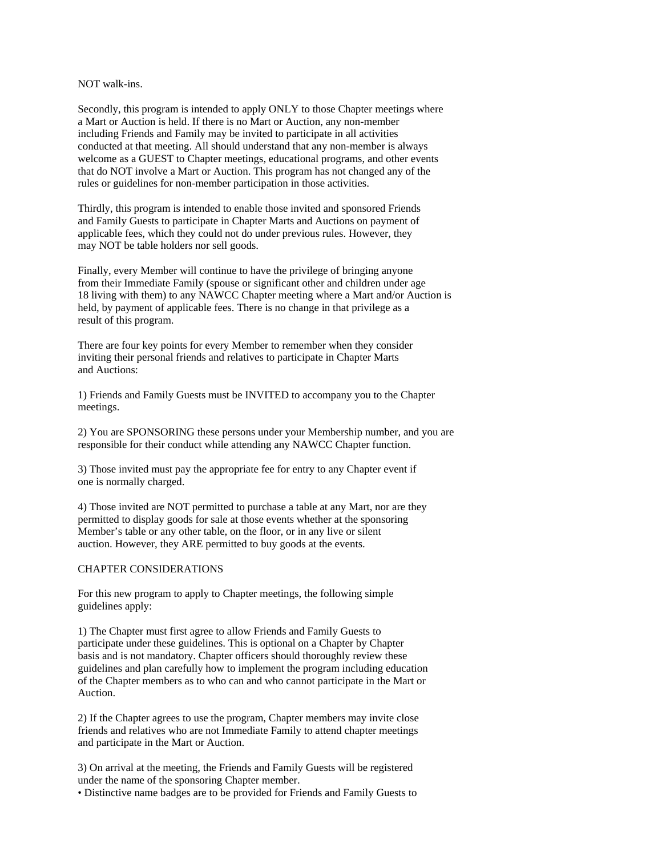### NOT walk-ins.

Secondly, this program is intended to apply ONLY to those Chapter meetings where a Mart or Auction is held. If there is no Mart or Auction, any non-member including Friends and Family may be invited to participate in all activities conducted at that meeting. All should understand that any non-member is always welcome as a GUEST to Chapter meetings, educational programs, and other events that do NOT involve a Mart or Auction. This program has not changed any of the rules or guidelines for non-member participation in those activities.

Thirdly, this program is intended to enable those invited and sponsored Friends and Family Guests to participate in Chapter Marts and Auctions on payment of applicable fees, which they could not do under previous rules. However, they may NOT be table holders nor sell goods.

Finally, every Member will continue to have the privilege of bringing anyone from their Immediate Family (spouse or significant other and children under age 18 living with them) to any NAWCC Chapter meeting where a Mart and/or Auction is held, by payment of applicable fees. There is no change in that privilege as a result of this program.

There are four key points for every Member to remember when they consider inviting their personal friends and relatives to participate in Chapter Marts and Auctions:

1) Friends and Family Guests must be INVITED to accompany you to the Chapter meetings.

2) You are SPONSORING these persons under your Membership number, and you are responsible for their conduct while attending any NAWCC Chapter function.

3) Those invited must pay the appropriate fee for entry to any Chapter event if one is normally charged.

4) Those invited are NOT permitted to purchase a table at any Mart, nor are they permitted to display goods for sale at those events whether at the sponsoring Member's table or any other table, on the floor, or in any live or silent auction. However, they ARE permitted to buy goods at the events.

## CHAPTER CONSIDERATIONS

For this new program to apply to Chapter meetings, the following simple guidelines apply:

1) The Chapter must first agree to allow Friends and Family Guests to participate under these guidelines. This is optional on a Chapter by Chapter basis and is not mandatory. Chapter officers should thoroughly review these guidelines and plan carefully how to implement the program including education of the Chapter members as to who can and who cannot participate in the Mart or Auction.

2) If the Chapter agrees to use the program, Chapter members may invite close friends and relatives who are not Immediate Family to attend chapter meetings and participate in the Mart or Auction.

3) On arrival at the meeting, the Friends and Family Guests will be registered under the name of the sponsoring Chapter member.

• Distinctive name badges are to be provided for Friends and Family Guests to